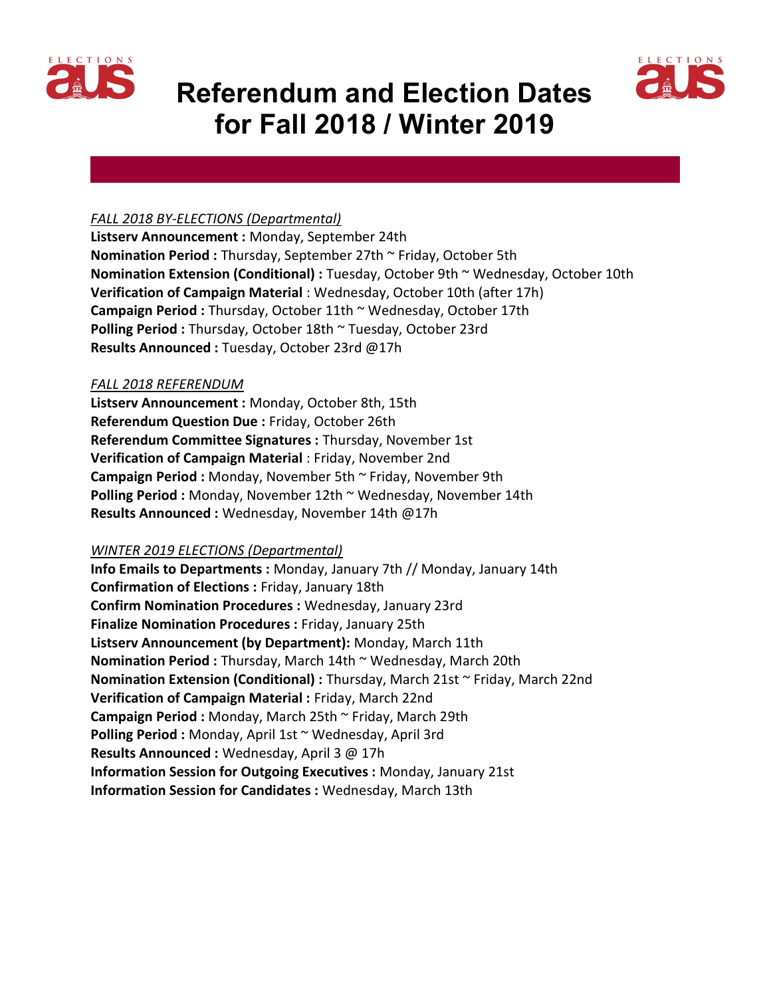

# Referendum and Election Dates for Fall 2018 / Winter 2019



### FALL 2018 BY-ELECTIONS (Departmental)

Listserv Announcement : Monday, September 24th Nomination Period : Thursday, September 27th ~ Friday, October 5th Nomination Extension (Conditional) : Tuesday, October 9th ~ Wednesday, October 10th Verification of Campaign Material : Wednesday, October 10th (after 17h) Campaign Period: Thursday, October 11th ~ Wednesday, October 17th Polling Period : Thursday, October 18th ~ Tuesday, October 23rd Results Announced : Tuesday, October 23rd @17h

#### FALL 2018 REFERENDUM

Listserv Announcement : Monday, October 8th, 15th Referendum Question Due : Friday, October 26th Referendum Committee Signatures : Thursday, November 1st Verification of Campaign Material : Friday, November 2nd Campaign Period : Monday, November 5th ~ Friday, November 9th Polling Period : Monday, November 12th ~ Wednesday, November 14th Results Announced : Wednesday, November 14th @17h

#### WINTER 2019 ELECTIONS (Departmental)

Info Emails to Departments : Monday, January 7th // Monday, January 14th Confirmation of Elections : Friday, January 18th Confirm Nomination Procedures : Wednesday, January 23rd Finalize Nomination Procedures : Friday, January 25th Listserv Announcement (by Department): Monday, March 11th Nomination Period : Thursday, March 14th ~ Wednesday, March 20th Nomination Extension (Conditional) : Thursday, March 21st ~ Friday, March 22nd Verification of Campaign Material : Friday, March 22nd Campaign Period : Monday, March 25th ~ Friday, March 29th Polling Period : Monday, April 1st ~ Wednesday, April 3rd Results Announced : Wednesday, April 3 @ 17h Information Session for Outgoing Executives : Monday, January 21st Information Session for Candidates : Wednesday, March 13th